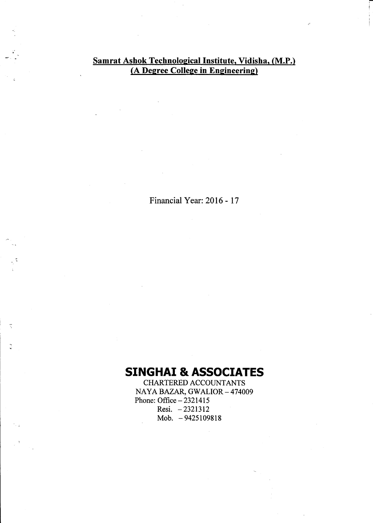#### Samrat Ashok Technological Institute, Vidisha, (M.P.) (A Degree College in Engineering)

Financial Year: 2016 - 17

## **SINGHAI & ASSOCIATES**

Ť

 $\tilde{c}$ 

CHARTERED ACCOUNTANTS NAYA BAZAR, GWALIOR - 474009 Phone: Office  $-2321415$ Resi. -2321312 Mob. - 9425109818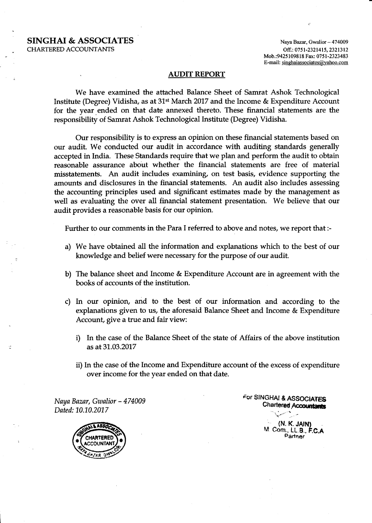#### SINGHAI & ASSOCIATES CHARTERED ACCOUNTANTS

Naya Bazar, Gwalior - 474009 Off.: 0751-2321415, 2321312 Mob.:9425109818 Fax: 0751-2323483<br>E-mail: singhaiassociates@yahoo.com

{

#### AUDIT REPORT

We have examined the attached Balance Sheet of Samrat Ashok Technological Institute (Degree) Vidisha, as at 31<sup>st</sup> March 2017 and the Income & Expenditure Account for the year ended on that date annexed thereto. These financial statements are the responsibiltty of Samrat Ashok Technological Institute (Degree) Vidisha.

Our responsibility is to express an opinion on these financial statements based on our audit. We conducted our audit in accordance with auditing standards generally accepted in India. These Standards require that we plan and perform the audit to obtain reasonable assurance about whether the financial statements are free of material misstatements. An audit includes examining, on test basis, evidence supporting the amounts and disclosures in the financial statements. An audit also includes assessing the accounting principles used and significant estimates made by the management as well as evaluating the over all financial statement presentation. We believe that our audit provides a reasonable basis for our opinion.

Further to our comments in the Para I referred to above and notes, we report that:-

- a) We have obtained all the information and explanations which to the best of our knowledge and belief were necessary for the pupose of our audit.
- b) The balance sheet and Income & Expenditure Account are in agreement with the books of accounts of the institution.
- c) In our opinion, and to the best of our information and according to the explanations given to us, the aforesaid Balance Sheet and Income & Expenditure Account, give a true and fair view:
	- i) In the case of the Balance Sheet of the state of Affairs of the above institution as at 31.03.2017
	- ii) In the case of the Income and Expenditure account of the excess of expenditure over income for the year ended on that date.

Naya Bazar, Gwalior - 474009 Dated: 10.10.2017



For SINGHAI & ASSOCIATES Chartered Accountants

> 'c' (N. K. JAIN)<br>M. Com., LL.B., F.C.A Partner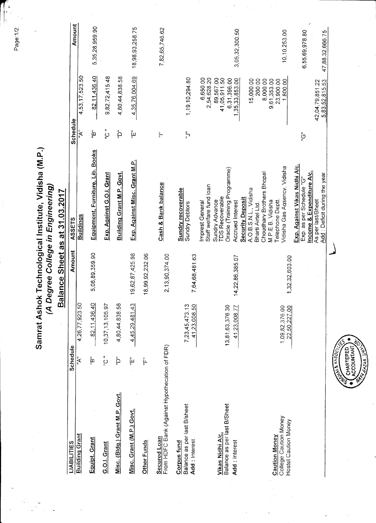|                                                                       |                                             |                 | Samrat Ashok Technological Institute, Vidisha (M.P.)                                                                                                                       |               |                                                                         | ą.                                |
|-----------------------------------------------------------------------|---------------------------------------------|-----------------|----------------------------------------------------------------------------------------------------------------------------------------------------------------------------|---------------|-------------------------------------------------------------------------|-----------------------------------|
|                                                                       | $\widehat{\mathcal{L}}$                     |                 | Degree College in Engineering)                                                                                                                                             |               |                                                                         |                                   |
|                                                                       |                                             | <b>Balance</b>  | Sheet as at 31.03.2017                                                                                                                                                     |               |                                                                         |                                   |
| <b>LIABILITIES</b>                                                    | Schedule                                    | Amount          | ASSETS                                                                                                                                                                     | Schedule      |                                                                         | Amount                            |
| <b>Building Grant</b>                                                 | 4,26,77,923.50<br>$\mathbf{A}^{\mathbf{u}}$ |                 | <b>Buildings</b>                                                                                                                                                           | ֦֓׆<br>׆      | 4,53,17,523.50                                                          |                                   |
| Equipt. Grant                                                         | 82,11,436.40<br>ម្នាំ                       | 5,08,89,359.90  | Equipment, Furniture, Lib. Books                                                                                                                                           | قة<br>P       | 82,11,436.40                                                            | 5,35,28,959.90                    |
| G.O.I. Grant                                                          | 10,37,13,105.97<br>ء<br>ي                   |                 | Exp. Against G.O.I. Grant                                                                                                                                                  | ءِ<br>ن       | 9, 82, 72, 415.48                                                       |                                   |
| Misc. (Bldg.) Grant M.P. Govt.                                        | 4,80,44,838.58<br>׆ֺֺ֖֜֜                    |                 | Building Grant M.P. Govt.                                                                                                                                                  | ׆֖֧֩֜         | 4,80,44,838.58                                                          |                                   |
| Misc. Grant (M.P.) Govt.                                              | 4,45,29,481.43<br>្ត្រីក                    | 19,62,87,425.98 | Exp. Against Misc. Grant M.P.                                                                                                                                              | ្ត្រី         | 4,35,76,004.69                                                          | 18,98,93,258.75                   |
| Other Funds                                                           | تې<br>پ                                     | 18,99,92,232.06 |                                                                                                                                                                            |               |                                                                         |                                   |
| Secured Loan<br>From HDFC Bank (Against Hypothecation of FDR)         |                                             | 2,13,90,374.00  | Cash & Bank balance                                                                                                                                                        | H             |                                                                         | 7,82,65,746.62                    |
| Balance as per last B/sheet<br>Add: Interest<br>Corpus fund           | 7,23,45,473.13<br>41,23,008.50              | 7,64,68,481.63  | <b>Sundry recoverable</b><br><b>Sundry Debtors</b>                                                                                                                         | $\frac{1}{x}$ | 1,19,10,294.80                                                          |                                   |
| Vikas Nidhi A/c.                                                      |                                             |                 | Staff welfare fund loan<br><b>TDS Recoverable</b><br>Sundry Advance<br>Imprest General                                                                                     |               | 6,650.00<br>2,54,628.20<br>89,567.00<br>41,05,911.50                    |                                   |
| Balance as per last B/Sheet<br>Add: Interest                          | 13,81,63,376.30<br>41,23,008.77             | 14,22,86,385.07 | Oracle (Training Programme)<br>Accrued Interest                                                                                                                            |               | , 35, 33, 853.00<br>6,31,396.00<br>ᡪ                                    | 3,05,32,300.50                    |
| College Caution Money<br>Hostel Caution Money<br><b>Caution Money</b> | 1,09,82,376.00<br>22,50,227.00              | 1,32,32,603.00  | Vidisha Gas Agsency, Vidisha<br>Choudhary Brothers Bhopal<br>A.O.B.S.N.L., Vidisha<br><b>Security Deposit</b><br>M.P.E.B. Vidisha<br>Telephone Deptt<br>Bharti Airtel Ltd. |               | 15,000.00<br>200.00<br>8,000.00<br>9,61,353.00<br>23,900.00<br>1,800.00 | 10,10,253.00                      |
|                                                                       |                                             |                 | Exp. Against Vikas Nidhi A/c.<br>Income & Expenditure A/c.<br>Add: Deficit during the year<br>Exp. as per Schedule "G"<br>As per last/Bheet                                | ڽؙٙ           | 5,83,52,815.53<br>42,04,79,851.22                                       | 6,55,69,978.80<br>47.88.32.666.75 |

 $\lambda$ 

 $\bullet$ 

HARTERED<br>COUNTANT

引<br>Selectes

Page: 1/2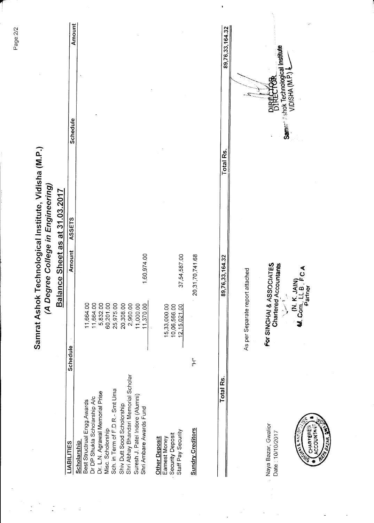Amount 89,76,33,164.32 Samre<sup>, Ashok Technological Institute<br>VIDISHA (M.P.) &</sup> **DIRECTOR** Schedule Samrat Ashok Technological Institute, Vidisha (M.P.) Total Rs. (A Degree College in Engineering) Balance Sheet as at 31.03.2017 ASSETS **Amount** 1,60,974.00 37,54,587.00 20, 31, 70, 741.68 89,76,33,164.32 **For SINGHAI & ASSOCIATES** Chartered Accountants M. K. JAIN)<br>M. Com., LL B. F.C.A<br>Partner As per Separate report attached 11,000.00 15,33,000.00<br>10,06,566.00 11,664.00 5,832.00 60,201.00 11,664.00 25,975.00 20,308.00 2,960.00 12,15,021.00 **Schedule**  $\frac{1}{2}$ Shri Abhay Bhandari Memorial Scholar Total Rs. Sch. in Term of F.D.R.- Smt Uma Dr. L.N. Agrawal Memorial Prise Suresh J. Patel Indore (Alumni) Dr DP Shukla Scholarship A/c Best Structrual Engg.Awards Shiv Dutt Sood Scholorship Shri Ambare Awards Fund Naya Bazar, Gwalior Misc. Scholorship **Sundry Creditors** Staff Pay Security Date: 10/10/2017 COUNTA Security Deposit **HARTEF** Earnest Money **Other Deposit** Scholarship **LIABILITIES** 

**UZAR** 

Page:2/2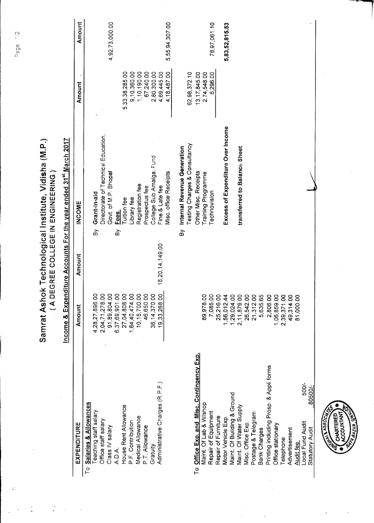|                                                            | Samrat Ash<br>$\overline{a}$                                                   |                 | ok Technological Institute, Vidisha (M.P.)<br>DEGREE COLLEGE IN ENGINEERING |                |                |
|------------------------------------------------------------|--------------------------------------------------------------------------------|-----------------|-----------------------------------------------------------------------------|----------------|----------------|
|                                                            | Income &                                                                       |                 | Expenditure Accounts For the year ended 31 <sup>st</sup> March 2017         |                |                |
| EXPENDITURE                                                | Amount                                                                         | Amount          | <b>INCOME</b>                                                               | Amount         | Amount         |
| Salaries & Allowances<br>$\overline{C}$                    |                                                                                |                 |                                                                             |                |                |
| eaching staff salary                                       | 4,28,27,896.00                                                                 |                 | Grant-in-aid<br>ă                                                           |                |                |
| Office staff salary                                        | 2,04,71,278.00                                                                 |                 | Directorate of Technical Education,                                         |                |                |
| Class IV salary                                            |                                                                                |                 | Govt. of M.P. Bhopal                                                        |                | 4,92,73,000.00 |
| ADA.                                                       | 91,89,804.00<br>6,37,69,901.00<br>27,04,808.00<br>10,15,700.00<br>10,15,700.00 |                 | <b>Fees</b><br>δÀ                                                           |                |                |
| House Rent Allowance                                       |                                                                                |                 | <b>Tuition fee</b>                                                          | 5,33,38,285.00 |                |
| P.F. Contribution                                          |                                                                                |                 | Library fee                                                                 | 9,10,360.00    |                |
| Medical Allowance                                          |                                                                                |                 | Registration fee                                                            | 1,10,190.00    |                |
| P.T. Allowance                                             |                                                                                |                 | Prospectus fee                                                              | 67,240.00      |                |
| Gratuity                                                   | 36, 14, 370.00                                                                 |                 | College Sub Amalga. Fund                                                    | 2,80,300.00    |                |
| Administrative Charges (R.P.F.)                            | 19,33,268.00                                                                   | 16,20,14,149.00 | Fine & Late fee                                                             | 4,69,445.00    |                |
|                                                            |                                                                                |                 | Misc. office Receipts                                                       | 4,18,487.00    | 5,55,94,307.00 |
|                                                            |                                                                                |                 |                                                                             |                |                |
|                                                            |                                                                                |                 | Internal Revenue Generation<br>à                                            |                |                |
|                                                            |                                                                                |                 | Festing Charges & Consultancy                                               | 62,98,372.10   |                |
| <b>Contingency Exp.</b><br>Office Exp. and Misc.<br>م<br>P |                                                                                |                 | Other Misc. Receipts                                                        | 13, 17, 845.00 |                |
| Maint. Of Lab & W/shop                                     | 89,978.00                                                                      |                 | Training Programme                                                          | 2,74,548.00    |                |
| Repair of Equipment                                        | 7,085.00                                                                       |                 | Technovision                                                                | 6,296.00       | 78,97,061.10   |
| Repair of Furniture                                        | 25,216.00                                                                      |                 |                                                                             |                |                |
| Motor Vehicle Exp                                          | 1,56,012.44<br>1,29,024.00<br>2,11,879.00<br>26,542.00                         |                 | Excess of Expenditure Over Income                                           |                | 5,83,52,815.53 |
| Maint. Of Building & Ground                                |                                                                                |                 |                                                                             |                |                |
| Maint. Of Water Supply                                     |                                                                                |                 | transferred to Balance Sheet                                                |                |                |
| Misc. Office Exp.                                          |                                                                                |                 |                                                                             |                |                |
| Postage & Telegram                                         | 21,312.00                                                                      |                 |                                                                             |                |                |
| Bank Charges                                               | 5,635.65                                                                       |                 |                                                                             |                |                |
| Printing including Prosp. & Appli forms                    | 2,806.00                                                                       |                 |                                                                             |                |                |
| Office stationary                                          | 1,06,859.00                                                                    |                 |                                                                             |                |                |
| Telephone                                                  | 2,39,371.00                                                                    |                 |                                                                             |                |                |
| Advertisement                                              | 49,314.00                                                                      |                 |                                                                             |                |                |
| Audit fee                                                  | 81,000.00                                                                      |                 |                                                                             |                |                |
| 500/-<br>Local Fund Audit                                  |                                                                                |                 |                                                                             |                |                |
| 80500/-<br>Statutory Audit                                 |                                                                                |                 |                                                                             |                |                |



v.<br>Baa

ċ,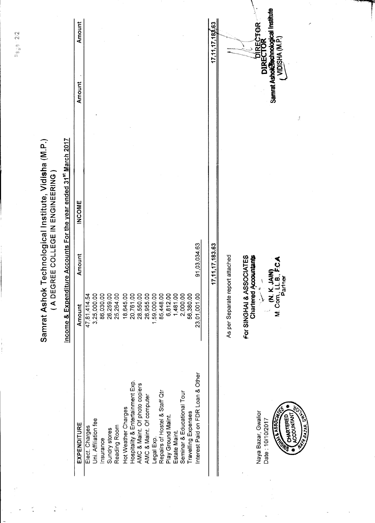| Interest Paid on FDR Loan & Other<br>Hospitality & Entertainment Exp.<br>AMC & Maint. Of photo copiers<br>Repairs of Hostel & Staff Qtr<br>Seminar & Educational Tour<br>AMC & Maint. Of computer<br>Hot Weather Charges<br>Naya Bazar, Gwalior<br>Travelling Expenses<br>ACCOUNTANT,<br><b>REATABLE</b><br>Play Ground Maint.<br><b>RESIDENT</b><br>CHARTERED<br>Uni. Affiliation fee<br>Date: 10/10/2017<br>EXPENDITURE<br>Reading Room<br>Elect Charges<br>Sundry stores<br>Estate Maint.<br>Legal Exp.<br>Insurance |
|-------------------------------------------------------------------------------------------------------------------------------------------------------------------------------------------------------------------------------------------------------------------------------------------------------------------------------------------------------------------------------------------------------------------------------------------------------------------------------------------------------------------------|
|-------------------------------------------------------------------------------------------------------------------------------------------------------------------------------------------------------------------------------------------------------------------------------------------------------------------------------------------------------------------------------------------------------------------------------------------------------------------------------------------------------------------------|

 $D_{\text{min}} = \frac{1}{2}$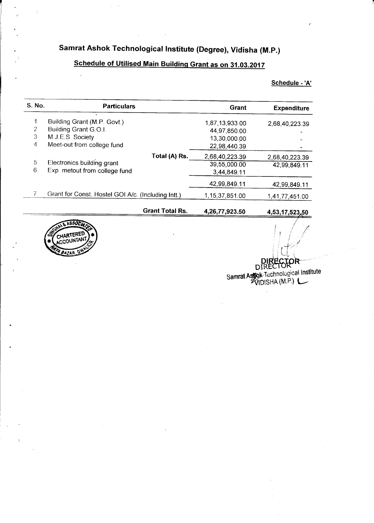## Samrat Ashok Technological Institute (Degree), Vidisha (M.P.)

## Schedule of Utilised Main Building Grant as on 31.03.2017

#### Schedule - 'A'

| S. No. | <b>Particulars</b>                                 | Grant          | <b>Expenditure</b> |
|--------|----------------------------------------------------|----------------|--------------------|
| 1      | Building Grant (M.P. Govt.)                        | 1,87,13,933.00 | 2,68,40,223.39     |
| 2      | Building Grant G.O.I.                              | 44.97,850.00   |                    |
| 3      | M.J.E.S. Society                                   | 13.30,000.00   |                    |
| 4      | Meet-out from college fund                         | 22,98,440.39   |                    |
|        | Total (A) Rs.                                      | 2,68,40,223.39 | 2,68,40,223.39     |
| 5      | Electronics building grant                         | 39,55,000.00   | 42,99,849.11       |
| 6      | Exp. metout from college fund                      | 3,44,849.11    |                    |
|        |                                                    | 42,99,849.11   | 42,99,849.11       |
|        | Grant for Const. Hostel GOI A/c. (Including Intt.) | 1,15,37,851.00 | 1,41,77,451.00     |
|        | <b>Grant Total Rs.</b>                             | 4,26,77,923.50 | 4,53,17,523,50     |



OR D Samrat Astro Technological Institute<br>VIDISHA (M.P.)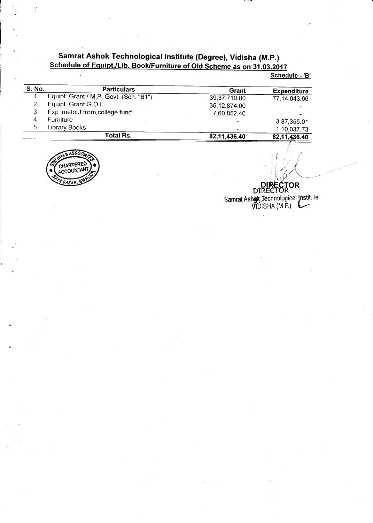# Samrat Ashok Technological Institute (Degree), Vidisha (M.P.)<br>Schedule of Equipt./Lib. Book/Furniture of Old Scheme as on 31.03.2017

Schedule - 'B'

| <b>S. No.</b> | <b>Particulars</b>                     | Grant          | <b>Expenditure</b> |
|---------------|----------------------------------------|----------------|--------------------|
|               | Equipt. Grant / M.P. Govt. (Sch. "B1") | 39,37,710.00   | 77,14,043.66       |
|               | Equipt. Grant G.O.I.                   | 35,12,874.00   |                    |
| 3             | Exp. metout from college fund          | 7,60,852.40    |                    |
| 4             | <b>Furniture</b>                       |                | 3,87,355.01        |
| 5             | Library Books                          | $\blacksquare$ | 1,10,037.73        |
|               | <b>Total Rs.</b>                       | 82,11,436.40   | 82,11,436.40       |
|               |                                        |                |                    |



ý

**GTOR** DIRE<sup>1</sup> Samrat Ashar Technological Institute<br>VIDISHA (M.P.)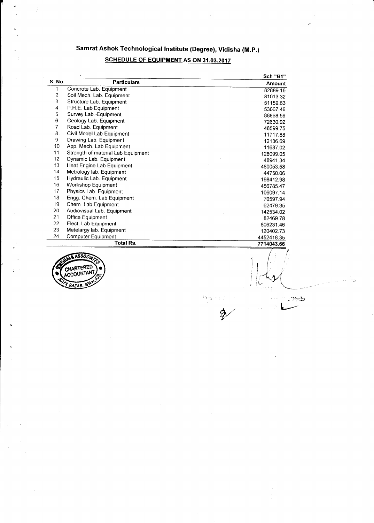## Samrat Ashok Technological Institute (Degree), Vidisha (M.P.)

## **SCHEDULE OF EQUIPMENT AS ON 31.03.2017**

|                | $\ddot{\phantom{a}}$               | <b>Sch "B1"</b> |
|----------------|------------------------------------|-----------------|
| S. No.         | <b>Particulars</b>                 | Amount          |
| 1              | Concrete Lab. Equipment            | 82889.15        |
| $\overline{2}$ | Soil Mech. Lab. Equipment          | 81013.32        |
| 3              | Structure Lab. Equipment           | 51159.63        |
| 4              | P.H.E. Lab Equipment               | 53067.46        |
| 5              | Survey Lab. Equipment              | 88868.59        |
| 6              | Geology Lab. Equipment             | 72630.92        |
| $\overline{I}$ | Road Lab. Equipment                | 48599.75        |
| 8.             | Civil Model Lab Equipment          | 11717.88        |
| 9              | Drawing Lab. Equipment             | 12136.69        |
| 10             | App. Mech. Lab Equipment           | 11687.02        |
| 11             | Strength of material Lab Equipment | 128099.05       |
| 12             | Dynamic Lab. Equipment             | 48941.34        |
| 13             | Heat Engine Lab Equipment          | 480053.58       |
| 14             | Metrology lab. Equipment           | 44750.06        |
| 15             | Hydraulic Lab. Equipment           | 198412.98       |
| 16             | <b>Workshop Equipment</b>          | 456785.47       |
| 17             | Physics Lab. Equipment             | 106097.14       |
| 18             | Engg. Chem. Lab Equipment          | 70597.94        |
| 19             | Chem. Lab Equipment                | 62479.35        |
| 20             | Audiovisual Lab. Equipment         | 142534.02       |
| 21             | Office Equipment                   | 82469.78        |
| 22             | Elect. Lab Equipment               | 806231.46       |
| 23             | Metelargy lab. Equipment           | 120402.73       |
| 24             | Computer Equipment                 | 4452418.35      |
|                | Total Rs.                          | 7714043.66      |



Ý.

Angura

 $\mathbb{C}$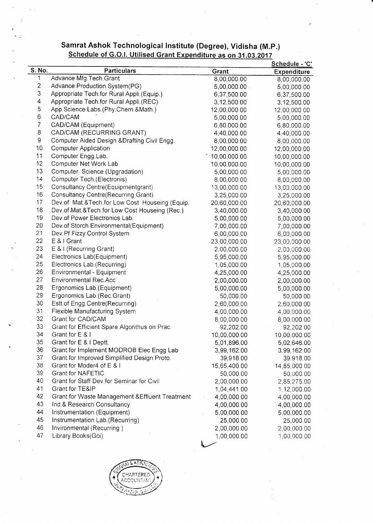#### Samrat Ashok Technological lnstitute (Degree), Vidisha (M.p.) Schedule of G.O.l. Utilised Grant Expenditure as on 31.03.2017

|                         |                                                 |              | <u>Schedule - 'C'</u> |
|-------------------------|-------------------------------------------------|--------------|-----------------------|
| S. No.                  | <b>Particulars</b>                              | Grant        | <b>Expenditure</b>    |
| 1                       | Advance Mfg. Tech. Grant                        | 8,00,000.00  | 8,00,000.00           |
| $\overline{\mathbf{c}}$ | Advance Production System(PG)                   | 5,00,000.00  | 5,00,000.00           |
| 3                       | Appropriate Tech.for Rural Appli.(Equip.)       | 6,37,500.00  | 6,37,500.00           |
| 4                       | Appropriate Tech.for Rural Appli.(REC)          | 3,12,500.00  | 3,12,500.00           |
| 5                       | App.Science Labs.(Phy.Chem.&Math.)              | 12,00,000.00 | 12,00,000.00          |
| $\,$ 6 $\,$             | CAD/CAM                                         | 5,00,000.00  | 5,00,000.00           |
| $\boldsymbol{7}$        | CAD/CAM (Equipment)                             | 6,80,000.00  | 6,80,000.00           |
| 8                       | CAD/CAM (RECURRING GRANT)                       | 4,40,000.00  | 4,40,000.00           |
| $\mathsf g$             | Computer Aided Design & Drafting Civil Engg.    | 8,00,000.00  | 8,00,000.00           |
| 10                      | <b>Computer Application</b>                     | 12,00,000.00 | 12,00,000.00          |
| 11                      | Computer Engg.Lab.                              | 10,00,000.00 | 10,00,000.00          |
| 12                      | Computer Net Work Lab                           | 10,00,000.00 | 10,00,000.00          |
| 13                      | Computer Science (Upgradation)                  | 5,00,000.00  | 5,00,000.00           |
| 14                      | Computer Tech. (Electronis)                     | 8,00,000.00  | 8,00,000.00           |
| 15                      | Consultancy Centre(Equipmentgrant)              | 13,00,000.00 | 13,00,000.00          |
| 16                      | <b>Consultancy Centre(Recurring Grant)</b>      | 3,25,000.00  | 3,25,000.00           |
| 17                      | Dev.of Mat.&Tech.for Low Cost Houseing (Equip.) | 20,60,000.00 | 20,60,000.00          |
| 18                      | Dev.of.Mat.&Tech.for Low Cost Houseing (Rec.)   | 3,40,000.00  | 3,40,000.00           |
| 19                      | Dev.of Power Electronics Lab.                   | 5,00,000.00  | 5,00,000.00           |
| 20                      | Dev.of Storch Environmental(Equipment)          | 7,00,000.00  | 7,00,000.00           |
| 21                      | Dev. Pf Fizzy Control System                    | 6,00,000.00  | 6,00,000.00           |
| 22                      | E & I Grant                                     | 23,00,000.00 | 23,00,000.00          |
| 23                      | E & I (Recurring Grant)                         | 2,00,000.00  | 2,00,000.00           |
| 24                      | Electronics Lab(Equipment)                      | 5,95,000.00  | 5,95,000.00           |
| 25                      | Electronics Lab.(Recurring)                     | 1,05,000.00  | 1,05,000.00           |
| 26                      | Environmental - Equipment                       | 4,25,000.00  | 4,25,000.00           |
| 27                      | <b>Environmental Rec.Acc</b>                    | 2,00,000.00  | 2,00,000.00           |
| 28                      | Ergonomics Lab. (Equipment)                     | 5,00,000.00  | 5,00,000.00           |
| 29                      | Ergonomics Lab.(Rec.Grant)                      | 50,000.00    | 50,000.00             |
| 30                      | Estt.of Engg.Centre(Recurring)                  | 2,60,000.00  | 2,60,000.00           |
| 31                      | Flexible Manufacturing System                   | 4,00,000.00  |                       |
| 32                      | Grant for CAD/CAM                               |              | 4,00,000.00           |
| 33                      | Grant for Efficient Spare Algorithus on Prac.   | 8,00,000.00  | 8,00,000.00           |
| 34                      | Grant for E & I                                 | 92,202.00    | 92,202.00             |
| 35                      | Grant for E & I Deptt.                          | 10,00,000.00 | 10,00,000.00          |
|                         |                                                 | 5,01,896.00  | 5,02,646.00           |
| 36                      | Grant for Implement MODROB Elec Engg Lab        | 3,99,162.00  | 3,99,162.00           |
| 37                      | Grant for Improved Simplified Design Proto.     | 39,918.00    | 39,918.00             |
| 38                      | Grant for Moder4.of E & I                       | 15,65,400.00 | 14,85,000.00          |
| 39                      | <b>Grant for NAFETIC</b>                        | 50,000.00    | 50,000.00             |
| 40                      | Grant for Staff Dev for Seminar for Civil       | 2,00,000.00  | 2,85,275.00           |
| 41                      | Grant for TE&IP                                 | 1,04,441.00  | 1,12,000.00           |
| 42                      | Grant for Waste Management & Effluent Treatment | 4,00,000.00  | 4,00,000.00           |
| 43                      | Ind.& Research Consultancy                      | 4,00,000.00  | 4,00,000.00           |
| 44                      | Instrumentation (Equipment)                     | 5,00,000.00  | 5,00,000.00           |
| 45                      | Instrumentation Lab.(Recurring)                 | 25,000.00    | 25,000.00             |
| 46                      | Invironmental (Recurring)                       | 2,00,000.00  | 2,00,000.00           |
| 47                      | Library Books(Goi)                              | 1,00,000.00  | 1,00,000.00           |
|                         |                                                 |              |                       |

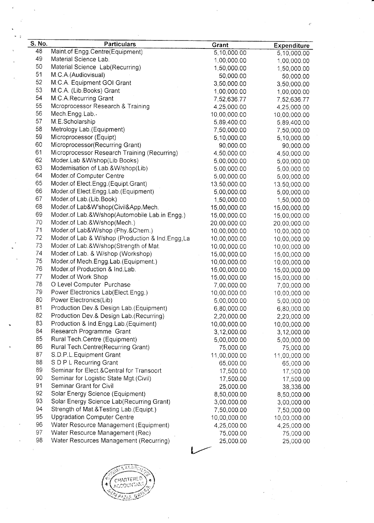| S. No. | <b>Particulars</b>                                               | Grant        | <b>Expenditure</b>          |
|--------|------------------------------------------------------------------|--------------|-----------------------------|
| 48     | Maint.of Engg.Centre(Equipment)                                  | 5,10,000.00  | 5,10,000.00                 |
| 49     | Material Science Lab.                                            | 1,00,000.00  | 1,00,000.00                 |
| 50     | Material Science Lab(Recurring)                                  | 1,50,000.00  | 1,50,000.00                 |
| 51     | M.C.A. (Audiovisual)                                             | 50,000.00    | 50,000.00                   |
| 52     | M.C.A. Equipment GOI Grant                                       | 3,50,000.00  | 3,50,000.00                 |
| 53     | M.C.A. (Lib.Books) Grant                                         | 1,00,000.00  | 1,00,000.00                 |
| 54     | M.C.A.Recurring Grant                                            | 7,52,636.77  | 7,52,636.77                 |
| 55     | Mcroprocessor Research & Training                                | 4,25,000.00  | 4,25,000.00                 |
| 56     | Mech.Engg.Lab.                                                   | 10,00,000.00 | 10,00,000.00                |
| 57     | M.E.Scholarship                                                  | 5,89,400.00  | 5,89,400.00                 |
| 58     | Metrology Lab. (Equipment)                                       | 7,50,000.00  | 7,50,000.00                 |
| 59     | Microprocessor (Equipt)                                          | 5,10,000.00  | 5,10,000.00                 |
| 60     | Microprocessor(Recurring Grant)                                  | 90,000.00    | 90,000.00                   |
| 61     | Microprocessor Research Training (Recurring)                     | 4,50,000.00  | 14,50,000.00                |
| 62     | Moder.Lab & W/shop(Lib Books)                                    | 5,00,000.00  | 5,00,000.00                 |
| 63     | Modernisation of Lab.&W/shop(Lib)                                | 5,00,000.00  | 5,00,000.00                 |
| 64     | Moder.of Computer Centre                                         | 5,00,000.00  | 5,00,000.00                 |
| 65     | Moder.of Elect.Engg.(Equipt.Grant)                               | 13,50,000.00 | 13,50,000.00                |
| 66     | Moder of Elect Engg Lab (Equipment)                              | 5,00,000.00  | 5,00,000.00                 |
| 67     | Moder.of Lab.(Lib.Book)                                          | 1,50,000.00  | 1,50,000.00                 |
| 68     | Moder.of Lab&W'shop(Civil&App.Mech.                              | 15,00,000.00 | 15,00,000.00                |
| 69     | Moder.of Lab.&W/shop(Automobile Lab.in Engg.)                    | 15,00,000.00 | 15,00,000.00                |
| 70     | Moder.of Lab.&W/shop(Mech.)                                      | 20,00,000.00 | 20,00,000.00                |
| 71     | Moder.of Lab&W/shop (Phy.&Chem.)                                 | 10,00,000.00 | 10,00,000.00                |
| 72     | Moder.of Lab & W/shop (Production & Ind.Engg,La                  | 10,00,000.00 | 10,00,000.00                |
| 73     | Moder.of Lab.&W/shop(Strength of Mat.                            | 10,00,000.00 | 10,00,000.00                |
| 74     | Moder.of Lab. & W/shop (Workshop)                                | 15,00,000.00 | 15,00,000.00                |
| 75     | Moder.of Mech.Engg.Lab.(Equipment.)                              | 10,00,000.00 |                             |
| 76     | Moder.of Production & Ind.Lab.                                   | 15,00,000.00 | 10,00,000.00                |
| 77     | Moder.of Work Shop                                               | 15,00,000.00 | 15,00,000.00                |
| 78     | O Level Computer Purchase                                        | 7,00,000.00  | 15,00,000.00                |
| 79     | Power Electronics Lab(Elect.Engg.)                               | 10,00,000.00 | 7,00,000.00                 |
| 80     | Power Electronics(Lib)                                           | 5,00,000.00  | 10,00,000.00<br>5,00,000.00 |
| 81     | Production Dev.& Design Lab.(Equipment)                          | 6,80,000.00  |                             |
| 82     | Production Dev.& Design Lab.(Recurring)                          |              | 6,80,000.00                 |
| 83     |                                                                  | 2,20,000.00  | 2,20,000.00                 |
| 84     | Production & Ind Engg Lab (Equiment)<br>Research Programme Grant | 10,00,000.00 | 10,00,000.00                |
| 85     | Rural Tech.Centre (Equipment)                                    | 3,12,000.00  | 3,12,000.00                 |
| 86     | Rural Tech.Centre(Recurring Grant)                               | 5,00,000.00  | 5,00,000.00                 |
| 87     | S.D.P.L.Equipment Grant                                          | 75,000.00    | 75,000.00                   |
| 88     |                                                                  | 11,00,000.00 | 11,00,000.00                |
|        | S D P L Recurring Grant                                          | 65,000.00    | 65,000.00                   |
| 89     | Seminar for Elect & Central for Transoort                        | 17,500.00    | 17,500.00                   |
| 90     | Seminar for Logistic State Mgt.(Civil)                           | 17,500.00    | 17,500.00                   |
| 91     | Seminar Grant for Civil                                          | 25,000.00    | 38,336.00                   |
| 92     | Solar Energy Science (Equipment)                                 | 8,50,000.00  | 8,50,000.00                 |
| 93     | Solar Energy Science Lab(Recurring Grant)                        | 3,00,000.00  | 3,00,000.00                 |
| 94     | Strength of Mat.&Testing Lab.(Equipt.)                           | 7,50,000.00  | 7,50,000.00                 |
| 95     | <b>Upgradation Computer Centre</b>                               | 10,00,000.00 | 10,00,000.00                |
| 96     | Water Resource Management (Equipment)                            | 4,25,000.00  | 4,25,000.00                 |
| 97     | Water Resource Management (Rec)                                  | 75,000.00    | 75,000.00                   |
| 98     | Water Resources Management (Recurring)                           | 25,000.00    | 25,000.00                   |
|        |                                                                  |              |                             |
|        |                                                                  |              |                             |

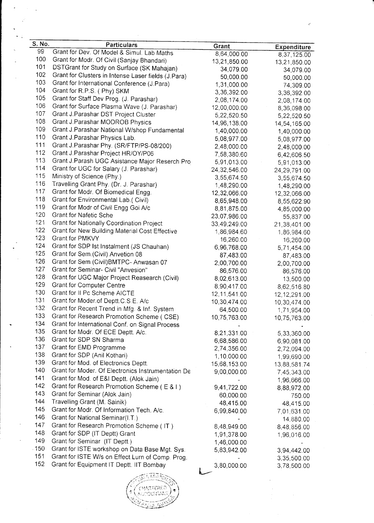| S. No. | <b>Particulars</b>                                  | Grant          | <b>Expenditure</b> |
|--------|-----------------------------------------------------|----------------|--------------------|
| 99     | Grant for Dev. Of Model & Simul. Lab Maths          | 8,64,000.00    | 8,37,125.00        |
| 100    | Grant for Modr. Of Civil (Sanjay Bhandari)          | 13,21,850.00   | 13,21,850.00       |
| 101    | DSTGrant for Study on Surface (SK Mahajan)          | 34,079.00      | 34,079.00          |
| 102    | Grant for Clusters in Intense Laser fields (J.Para) | 50,000.00      | 50,000.00          |
| 103    | Grant for International Conference (J.Para)         | 1,31,000.00    | 74,309.00          |
| 104    | Grant for R.P.S. (Phy) SKM                          | 3,36,392.00    |                    |
| 105    | Grant for Staff Dev Prog. (J. Parashar)             | 2,08,174.00    | 3,36,392.00        |
| 106    | Grant for Surface Plasma Wave (J. Parashar)         | 12,00,000.00   | 2,08,174.00        |
| 107    | Grant J.Parashar DST Project Cluster                |                | 8,36,098.00        |
| 108    | Grant J.Parashar MODROB Physics                     | 5,22,520.50    | 5,22,520.50        |
| 109    | Grant J Parashar National W/shop Fundamental        | 14,96,138.00   | 14,54,165.00       |
| 110    | Grant J. Parashar Physics Lab.                      | 1,40,000.00    | 1,40,000.00        |
| 111    | Grant J.Parashar Phy. (SR/FTP/PS-08/200)            | 5,08,977.00    | 5,08,977.00        |
| 112    |                                                     | 2,48,000.00    | 2,48,000.00        |
| 113    | Grant J. Parashar Project HR/OY/P06                 | 7,58,380.60    | 6,42,606.50        |
| 114    | Grant J Parash UGC Asistance Major Reserch Pro      | 5,91,013.00    | 5,91,013.00        |
|        | Grant for UGC for Salary (J. Parashar)              | 24, 32, 546.00 | 24,29,791.00       |
| 115    | Ministry of Science (Phy.)                          | 3,55,674.50    | 3,55,674.50        |
| 116    | Travelling Grant Phy. (Dr. J. Parashar)             | 1,48,290.00    | 1,48,290.00        |
| 117    | Grant for Modr. Of Biomedical Engg.                 | 12,32,066.00   | 12,32,066.00       |
| 118    | Grant for Environmental Lab.( Civil)                | 8,65,948.00    | 8,55,622.90        |
| 119    | Grant for Modr of Civil Engg Goi A/c                | 8,81,875.00    | 4,85,000.00        |
| 120    | Grant for Nafetic Sche                              | 23,07,986.00   | 55,837.00          |
| 121    | Grant for Nationally Coordination Project           | 33,49,249.00   | 21,38,401.00       |
| 122    | Grant for New Building Material Cost Effective      | 1,86,984.60    | 1,86,984.60        |
| 123    | Grant for PMKVY                                     | 16,260.00      | 16,260.00          |
| 124    | Grant for SDP Ist Instalment (JS Chauhan)           | 6,96,768.00    | 5,71,454.00        |
| 125    | Grant for Sem. (Civil) Anvetion 08                  | 87,483.00      | 87,483.00          |
| 126    | Grant for Sem (Civil) BMTPC- Anwasan 07             | 2,00,700.00    | 2,00,700.00        |
| 127    | Grant for Seminar- Civil "Anvesion"                 | 86,576.00      | 86,576.00          |
| 128    | Grant for UGC Major Project Reasearch (Civil)       | 8,02,613.00    | 13,500.00          |
| 129    | Grant for Computer Centre                           | 8,90,417.00    | 8,62,516.80        |
| 130    | Grant for II Pc Scheme AICTE                        | 12, 11, 541.00 | 12,12,291.00       |
| 131    | Grant for Moder of Deptt C.S.E. A/c                 | 10,30,474.00   | 10,30,474.00       |
| 132    | Grant for Recent Trend in Mfg. & Inf. System        | 64,500.00      | 1,71,954.00        |
| 133    | Grant for Research Promotion Scheme (CSE)           | 10,75,763.00   | 10,75,763.00       |
| 134    | Grant for International Conf. on Signal Process     |                |                    |
| 135    | Grant for Modr. Of ECE Deptt. A/c.                  | 8,21,331.00    | 5,33,360.00        |
| 136    | Grant for SDP SN Sharma                             | 6,68,586.00    | 6,90,081.00        |
| 137    | Grant for EMD Programme                             | 2,74,356.00    | 2,72,094.00        |
| 138    | Grant for SDP (Anil Kothari)                        | 1,10,000.00    | 1,99,690.00        |
| 139    | Grant for Mod. of Electronics Deptt.                | 15,68,153.00   | 13,88,581.74       |
| 140    | Grant for Moder. Of Electronics Instrumentation De  | 9,00,000.00    | 7,45,343.00        |
| 141    | Grant for Mod. of E&I Deptt. (Alok Jain)            |                | 1,96,666.00        |
| 142    | Grant for Research Promotion Scheme (E & I)         | 9,41,722.00    | 8,88,972.00        |
| 143    | Grant for Seminar (Alok Jain)                       | 60,000.00      |                    |
| 144    | Travelling Grant (M. Sainik)                        | 48,415.00      | 750.00             |
| 145    | Grant for Modr. Of Information Tech. A/c.           |                | 48,415.00          |
| 146    | Grant for National Seminar(I.T.)                    | 6,99,840.00    | 7,01,631.00        |
| 147    | Grant for Research Promotion Scheme (IT)            |                | 14,880.00          |
| 148    | Grant for SDP (IT Deptt) Grant                      | 8,48,949.00    | 8,48,856.00        |
| 149    |                                                     | 1,91,378.00    | 1,96,016.00        |
| .150   | Grant for Seminar (IT Deptt.)                       | 1,46,000.00    |                    |
| 151    | Grant for ISTE workshop on Data Base Mgt. Sys.      | 5,83,942.00    | 3,94,442.00        |
| 152    | Grant for ISTE W/s on Effect Lurn of Comp. Prog.    |                | 3,35,500.00        |
|        | Grant for Equipment IT Deptt. IIT Bombay            | 3,80,000.00    | 3,78,500.00        |
|        |                                                     |                |                    |

 $\sim$ 

 $\ddot{\phantom{a}}$ 

 $-11.1$ j'''." -- -' ::tl'  ${\tt TEREL}$  $\left(\frac{1}{2}\right)^{*}$ l - .. '.. t  $\mathbb{Z}_{\geq 0}$  .  $\mathbb{Z}_{\geq 0}$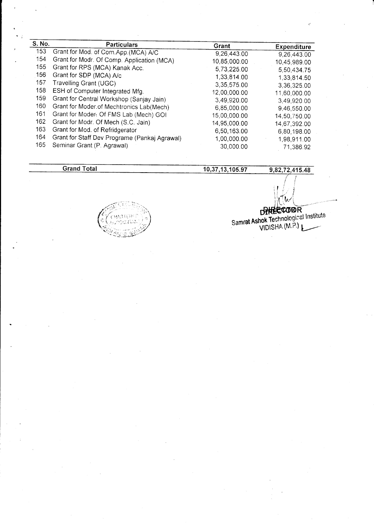| S. No. | <b>Particulars</b>                            | Grant        | <b>Expenditure</b> |
|--------|-----------------------------------------------|--------------|--------------------|
| 153    | Grant for Mod. of Com.App.(MCA) A/C           | 9,26,443.00  | 9,26,443.00        |
| 154    | Grant for Modr. Of Comp. Application (MCA)    | 10,85,000.00 | 10,45,989.00       |
| 155    | Grant for RPS (MCA) Kanak Acc.                | 5,73,225.00  | 5,50,434.75        |
| 156    | Grant for SDP (MCA) A/c                       | 1,33,814.00  | 1,33,814.50        |
| 157    | Travelling Grant (UGC)                        | 3,35,575.00  | 3,36,325.00        |
| 158    | ESH of Computer Integrated Mfg.               | 12,00,000.00 | 11,60,000.00       |
| 159    | Grant for Central Workshop (Sanjay Jain)      | 3,49,920.00  | 3,49,920.00        |
| 160    | Grant for Moder.of Mechtronics Lab(Mech)      | 6,85,000.00  |                    |
| 161    | Grant for Moder. Of FMS Lab (Mech) GOI        | 15,00,000.00 | 9,46,550.00        |
| 162    | Grant for Modr. Of Mech (S.C. Jain)           |              | 14.50,750.00       |
| 163    | Grant for Mod. of Refridgerator               | 14,95,000.00 | 14,67,392.00       |
|        |                                               | 6,50,163.00  | 6,80,198.00        |
| 164    | Grant for Staff Dev Programe (Pankaj Agrawal) | 1,00,000.00  | 1,98,911.00        |
| 165    | Seminar Grant (P. Agrawal)                    | 30,000.00    | 71,386.92          |

**Grand Total** 

10,37,13,105.97

9,82,72,415.48

Samrat Ashok Technological Institute<br>VIDISHA (M.P.)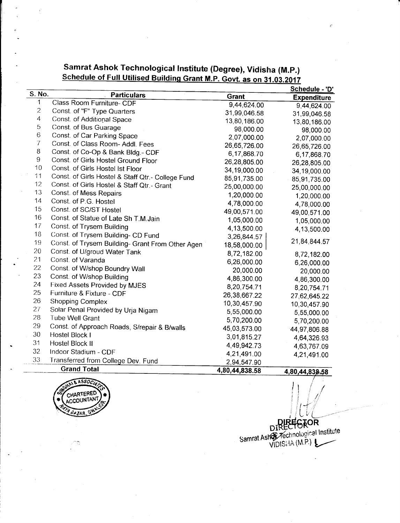|                |                                                   |                | <u>Schedule - 'D'</u> |
|----------------|---------------------------------------------------|----------------|-----------------------|
| S. No.         | <b>Particulars</b>                                | <b>Grant</b>   | <b>Expenditure</b>    |
| 1              | Class Room Furniture- CDF                         | 9,44,624.00    | 9,44,624.00           |
| $\overline{c}$ | Const. of "F" Type Quarters                       | 31,99,046.58   | 31,99,046.58          |
| $\overline{4}$ | Const. of Additional Space                        | 13,80,186.00   | 13,80,186.00          |
| 5              | Const. of Bus Guarage                             | 98,000.00      | 98,000.00             |
| 6              | Const. of Car Parking Space                       | 2,07,000.00    | 2,07,000.00           |
| $\overline{7}$ | Const. of Class Room- Addl. Fees                  | 26,65,726.00   | 26,65,726.00          |
| 8              | Const. of Co-Op & Bank Bldg.- CDF                 | 6,17,868.70    | 6,17,868.70           |
| 9              | Const. of Girls Hostel Ground Floor               | 26,28,805.00   | 26,28,805.00          |
| 10             | Const. of Girls Hostel Ist Floor                  | 34,19,000.00   | 34,19,000.00          |
| 11             | Const. of Girls Hostel & Staff Qtr.- College Fund | 85,91,735.00   | 85,91,735.00          |
| 12             | Const. of Girls Hostel & Staff Qtr.- Grant        | 25,00,000.00   | 25,00,000.00          |
| 13             | Const. of Mess Repairs                            | 1,20,000.00    | 1,20,000.00           |
| 14             | Const. of P.G. Hostel                             | 4,78,000.00    | 4,78,000.00           |
| 15             | Const. of SC/ST Hostel                            | 49,00,571.00   | 49,00,571.00          |
| 16             | Const. of Statue of Late Sh T.M. Jain             | 1,05,000.00    | 1,05,000.00           |
| 17             | Const. of Trysem Building                         | 4,13,500.00    | 4,13,500.00           |
| 18             | Const. of Trysem Building- CD Fund                | 3,26,844.57    |                       |
| 19             | Const. of Trysem Building- Grant From Other Agen  | 18,58,000.00   | 21,84,844.57          |
| 20             | Const. of U/groud Water Tank                      | 8,72,182.00    | 8,72,182.00           |
| 21             | Const. of Varanda                                 | 6,26,000.00    | 6,26,000.00           |
| 22             | Const. of W/shop Boundry Wall                     | 20,000.00      | 20,000.00             |
| 23             | Const. of W/shop Building                         | 4,86,300.00    | 4,86,300.00           |
| 24             | Fixed Assets Provided by MJES                     | 8,20,754.71    | 8,20,754.71           |
| 25             | Furniture & Fixture - CDF                         | 26,38,667.22   | 27,62,645.22          |
| 26             | Shopping Complex                                  | 10,30,457.90   | 10,30,457.90          |
| 27             | Solar Penal Provided by Urja Nigam                | 5,55,000.00    | 5,55,000.00           |
| 28             | <b>Tube Well Grant</b>                            | 5,70,200.00    | 5,70,200.00           |
| 29             | Const. of Approach Roads, S/repair & B/walls      | 45,03,573.00   | 44,97,806.88          |
| 30             | Hostel Block I                                    | 3,01,815.27    | 4,64,326.93           |
| 31             | Hostel Block II                                   | 4,49,942.73    | 4,63,767.09           |
| 32             | Indoor Stadium - CDF                              | 4,21,491.00    | 4,21,491.00           |
| 33             | Transferred from College Dev. Fund                | 2,94,547.90    |                       |
|                | <b>Grand Total</b>                                | 4 80 44 838 58 | A DA AA OOO EO        |

Samrat Ashok Technological Institute (Degree), Vidisha (M.P.)<br>Schedule of Full Utilised Building Grant M.P. Govt. as on 31.03.2017



DIRECTOR<br>DIRECTOR<br>Samrat Ashor Technological Institute<br>VIDISHA (M.P.)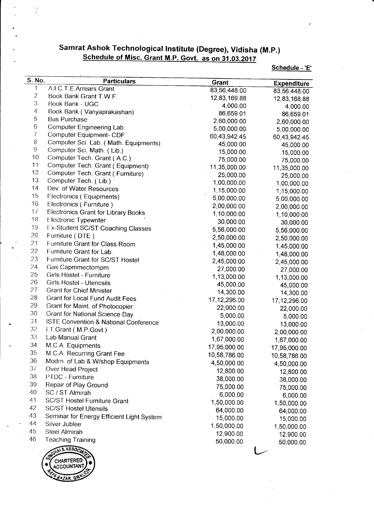# Samrat Ashok Technological Institute (Degree), Vidisha (M.P.)<br>Schedule of Misc. Grant M.P. Govt. as on 31.03.2017

Schedule - 'E'

| S. No.         | <b>Particulars</b>                         | <b>Grant</b> | <b>Expenditure</b> |
|----------------|--------------------------------------------|--------------|--------------------|
| 1              | A.I.C.T.E.Arrears Grant                    | 83,56,448.00 | 83,56,448.00       |
| $\overline{c}$ | Book Bank Grant T.W.F.                     | 12,83,169.88 | 12,83,168.88       |
| 3              | Book Bank - UGC                            | 4,000.00     | 4,000.00           |
| $\overline{4}$ | Book Bank (Vanyaprakashan)                 | 86,659.01    | 86,659.01          |
| 5              | <b>Bus Purchase</b>                        | 2,60,000.00  | 2,60,000.00        |
| 6              | Computer Engineering Lab.                  | 5,00,000.00  | 5,00,000.00        |
| $\overline{7}$ | Computer Equipment- CDF                    | 60,43,942.45 | 60,43,942.45       |
| 8              | Computer Sci. Lab. (Math. Equipments)      | 45,000.00    | 45,000.00          |
| $\,9$          | Computer Sci. Math. (Lib.)                 | 15,000.00    | 15,000.00          |
| 10             | Computer Tech. Grant (A.C.)                | 75,000.00    | 75,000.00          |
| 11             | Computer Tech. Grant (Equipment)           | 11,35,000.00 | 11,35,000.00       |
| 12             | Computer Tech. Grant (Furniture)           | 25,000.00    | 25,000.00          |
| 13             | Computer Tech. (Lib.)                      | 1,00,000.00  | 1,00,000.00        |
| 14             | Dev. of Water Resources                    | 1,15,000.00  | 1,15,000.00        |
| 15             | Electronics (Equipments)                   | 5,00,000.00  | 5,00,000.00        |
| 16             | Electronics (Furniture)                    | 2,00,000.00  | 2,00,000.00        |
| 17             | <b>Electronics Grant for Library Books</b> | 1,10,000.00  | 1,10,000.00        |
| 18             | <b>Electronic Typewriter</b>               | 30,000.00    | 30,000.00          |
| 19             | Ex-Student SC/ST Coaching Classes          | 5,56,000.00  | 5,56,000.00        |
| 20             | Furniture (DTE)                            | 2,50,000.00  | 2,50,000.00        |
| 21             | Furniture Grant for Class Room             | 1,45,000.00  | 1,45,000.00        |
| 22             | Furniture Grant for Lab.                   | 1,48,000.00  |                    |
| 23             | Furniture Grant for SC/ST Hostel           | 2,45,000.00  | 1,48,000.00        |
| 24             | Gas Capmmectompm                           | 27,000.00    | 2,45,000.00        |
| 25             | Girls Hostel - Furniture                   | 1,13,000.00  | 27,000.00          |
| 26             | Girls Hostel - Utencsils                   | 45,000.00    | 1,13,000.00        |
| 27             | <b>Grant for Chief Minister</b>            | 14,300.00    | 45,000.00          |
| 28             | Grant for Local Fund Audit Fees            | 17,12,296.00 | 14,300.00          |
| 29             | Grant for Maint. of Photocopier            | 22,000.00    | 17, 12, 296.00     |
| 30             | Grant for National Science Day             | 5,000.00     | 22,000.00          |
| 31             | ISTE Convention & National Conference      |              | 5,000.00           |
| 32             | I.T.Grant (M.P.Govt.)                      | 13,000.00    | 13,000.00          |
| 33             | Lab Manual Grant                           | 2,00,000.00  | 2,00,000.00        |
| 34             | M.C.A. Equipments                          | 1,67,000.00  | 1,67,000.00        |
| 35             | M.C.A. Recurring Grant Fee                 | 17,95,000.00 | 17,95,000.00       |
| 36             | Modrn. of Lab & W/shop Equipments          | 10,58,786.00 | 10,58,786.00       |
| 37             | Over Head Project                          | 4,50,000.00  | 4,50,000.00        |
| 38             | PTDC - Furniture                           | 12,800.00    | 12,800.00          |
| 39             |                                            | 38,000.00    | 38,000.00          |
| 40             | Repair of Play Ground                      | 75,000.00    | 75,000.00          |
|                | SC / ST Almirah                            | 6,000.00     | 6,000.00           |
| 41             | <b>SC/ST Hostel Furniture Grant</b>        | 1,50,000.00  | 1,50,000.00        |
| 42             | <b>SC/ST Hostel Utensils</b>               | 64,000.00    | 64,000.00          |
| 43             | Seminar for Energy Efficient Light System  | 15,000.00    | 15,000.00          |
| 44             | Silver Jublee                              | 1,50,000.00  | 1,50,000.00        |
| 45             | <b>Steel Almirah</b>                       | 12,900.00    | 12,900.00          |
| 46             | <b>Teaching Training</b>                   | 50,000.00    | 50,000.00          |
|                | LAI & ASSOCA                               |              |                    |



 $\dot{\mathcal{L}}$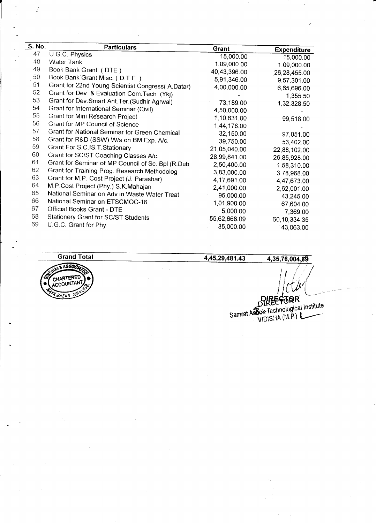| S. No. | <b>Particulars</b>                                | <b>Grant</b> | <b>Expenditure</b> |
|--------|---------------------------------------------------|--------------|--------------------|
| 47     | U.G.C. Physics                                    | 15,000.00    | 15,000.00          |
| 48     | <b>Water Tank</b>                                 | 1,09,000.00  | 1,09,000.00        |
| 49     | Book Bank Grant (DTE)                             | 40,43,396.00 | 26,28,455.00       |
| 50     | Book Bank Grant Misc. (D.T.E.)                    | 5,91,346.00  | 9,57,301.00        |
| 51     | Grant for 22nd Young Scientist Congress(A.Datar)  | 4,00,000.00  | 6,65,696.00        |
| 52     | Grant for Dev. & Evaluation Com. Tech (Ykj)       |              | 1,355.50           |
| 53     | Grant for Dev. Smart Ant. Ter. (Sudhir Agrwal)    | 73,189.00    | 1,32,328.50        |
| 54     | Grant for International Seminar (Civil)           | 4,50,000.00  |                    |
| 55     | Grant for Mini Research Project                   | 1,10,631.00  | 99,518.00          |
| 56     | Grant for MP Council of Science                   | 1,44,178.00  |                    |
| 57     | Grant for National Seminar for Green Chemical     | 32,150.00    | 97,051.00          |
| 58     | Grant for R&D (SSW) W/s on BM Exp. A/c.           | 39,750.00    | 53,402.00          |
| 59     | Grant For S.C.IS.T.Stationary                     | 21,05,040.00 | 22,88,102.00       |
| 60     | Grant for SC/ST Coaching Classes A/c.             | 28,99,841.00 | 26,85,928.00       |
| 61     | Grant for Seminar of MP Council of Sc. Bpl (R.Dub | 2,50,400.00  | 1,58,310.00        |
| 62     | Grant for Training Prog. Research Methodolog      | 3,83,000.00  | 3,78,968.00        |
| 63     | Grant for M.P. Cost Project (J. Parashar)         | 4,17,691.00  | 4,47,673.00        |
| 64     | M.P.Cost Project (Phy.) S.K.Mahajan               | 2,41,000.00  | 2,62,001.00        |
| 65     | National Seminar on Adv in Waste Water Treat      | 95,000.00    | 43,245.00          |
| 66     | National Seminar on ETSCMOC-16                    | 1,01,900.00  | 67,604.00          |
| 67     | Official Books Grant - DTE                        | 5,000.00     | 7,369.00           |
| 68     | Stationery Grant for SC/ST Students               | 55,62,668.09 | 60,10,334.35       |
| 69     | U.G.C. Grant for Phy.                             | 35,000.00    | 43,063.00          |
|        |                                                   |              |                    |



 $\mathcal{L}$ 

#### 4,45,29,481.43

4,35,76,004,69

 $\big\{ \mathcal{U}$ I  $\mathcal{C}_{0}^{1}$ , { I I

Samrat Astok-Technological Institute<br>VIDISHA (M.P.)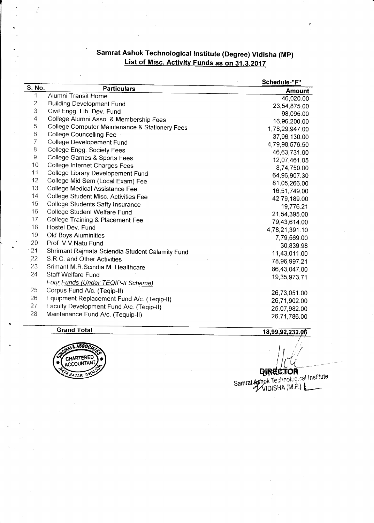# Samrat Ashok Technological Institute (Degree) Vidisha (MP)<br>List of Misc. Activity Funds as on 31.3.2017

|                |                                                 | Schedule-"F"   |
|----------------|-------------------------------------------------|----------------|
| S. No.         | <b>Particulars</b>                              | <b>Amount</b>  |
| 1              | Alumni Transit Home                             | 46,020.00      |
| $\overline{c}$ | <b>Building Development Fund</b>                | 23,54,875.00   |
| 3              | Civil Engg. Lib. Dev. Fund                      | 98,095.00      |
| 4              | College Alumni Asso. & Membership Fees          | 16,96,200.00   |
| 5              | College Computer Maintenance & Stationery Fees  | 1,78,29,947.00 |
| 6              | <b>College Councelling Fee</b>                  | 37,96,130.00   |
| 7              | College Developement Fund                       | 4,79,98,576.50 |
| 8              | College Engg. Society Fees                      | 46,63,731.00   |
| 9              | College Games & Sports Fees                     | 12,07,461.05   |
| 10             | College Internet Charges Fees                   | 8,74,750.00    |
| 11             | College Library Developement Fund               | 64,96,907.30   |
| 12             | College Mid Sem (Local Exam) Fee                | 81,05,266.00   |
| 13             | College Medical Assistance Fee                  | 16,51,749.00   |
| 14             | College Student Misc. Activities Fee            | 42,79,189.00   |
| 15             | College Students Safty Insurance                | 19,776.21      |
| 16             | College Student Welfare Fund                    | 21,54,395.00   |
| 17             | College Training & Placement Fee                | 79,43,614.00   |
| 18             | Hostel Dev. Fund                                | 4,78,21,391.10 |
| 19             | Old Boys Aluminities                            | 7,79,569.00    |
| 20             | Prof. V.V. Natu Fund                            | 30,839.98      |
| 21             | Shrimant Rajmata Sciendia Student Calamity Fund | 11,43,011.00   |
| 22             | S.R.C. and Other Activities                     | 78,96,997.21   |
| 23             | Srimant M.R.Scindia M. Healthcare               | 86,43,047.00   |
| 24             | Staff Welfare Fund                              | 19,35,973.71   |
|                | Four Funds (Under TEQIP-II Scheme)              |                |
| 25             | Corpus Fund A/c. (Teqip-II)                     | 26,73,051.00   |
| 26             | Equipment Replacement Fund A/c. (Teqip-II)      | 26,71,902.00   |
| 27             | Faculty Development Fund A/c. (Teqip-II)        | 25,07,982.00   |
| 28             | Maintanance Fund A/c. (Tequip-II)               |                |
|                |                                                 | 26,71,786.00   |

**Grand Total** 

 $\mathbb{Z}$ 



18,99,92,232.06

**DIRECTOR**<br>Samrat Ashok Technological Institute<br>MIDISHA (M.P.)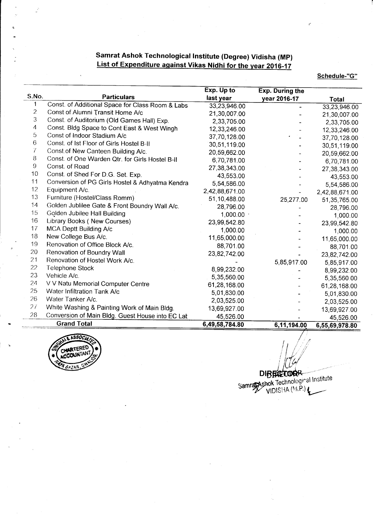### Samrat Ashok Technological Institute (Degree) Vidisha (Mp) List of Expenditure against Vikas Nidhi for the vear 2016-17

#### Schedule-"G"

|                |                                                  | Exp. Up to     | <b>Exp. During the</b> |                |
|----------------|--------------------------------------------------|----------------|------------------------|----------------|
| S.No.          | <b>Particulars</b>                               | last year      | year 2016-17           | <b>Total</b>   |
| 1              | Const. of Additional Space for Class Room & Labs | 33,23,946.00   |                        | 33,23,946.00   |
| $\overline{c}$ | Const of Alumni Transit Home A/c                 | 21,30,007.00   |                        | 21,30,007.00   |
| 3              | Const. of Auditorium (Old Games Hall) Exp.       | 2,33,705.00    |                        | 2,33,705.00    |
| 4              | Const. Bldg Space to Cont East & West Wingh      | 12,33,246.00   |                        | 12,33,246.00   |
| 5              | Const of Indoor Stadium A/c                      | 37,70,128.00   |                        | 37,70,128.00   |
| 6              | Const. of Ist Floor of Girls Hostel B-II         | 30,51,119.00   |                        | 30,51,119.00   |
| 7              | Const of New Canteen Building A/c.               | 20,59,662.00   |                        | 20,59,662.00   |
| 8              | Const. of One Warden Qtr. for Girls Hostel B-II  | 6,70,781.00    |                        | 6,70,781.00    |
| $\hbox{9}$     | Const. of Road                                   | 27,38,343.00   |                        | 27,38,343.00   |
| 10             | Const. of Shed For D.G. Set. Exp.                | 43,553.00      |                        | 43,553.00      |
| 11             | Conversion of PG Girls Hostel & Adhyatma Kendra  | 5,54,586.00    |                        | 5,54,586.00    |
| 12             | Equipment A/c.                                   | 2,42,88,671.00 |                        | 2,42,88,671.00 |
| 13             | Furniture (Hostel/Class Romm)                    | 51,10,488.00   | 25,277.00              | 51,35,765.00   |
| 14             | Golden Jublilee Gate & Front Boundry Wall A/c.   | 28,796.00      |                        | 28,796.00      |
| 15             | Golden Jubilee Hall Building                     | 1,000.00       |                        | 1,000.00       |
| 16             | Library Books (New Courses)                      | 23,99,542.80   |                        | 23,99,542.80   |
| 17             | MCA Deptt Building A/c                           | 1,000.00       |                        | 1,000.00       |
| 18             | New College Bus A/c.                             | 11,65,000.00   |                        | 11,65,000.00   |
| 19             | Renovation of Office Block A/c.                  | 88,701.00      |                        | 88,701.00      |
| 20             | Renovation of Boundry Wall                       | 23,82,742.00   |                        | 23,82,742.00   |
| 21             | Renovation of Hostel Work A/c.                   |                | 5,85,917.00            | 5,85,917.00    |
| 22             | <b>Telephone Stock</b>                           | 8,99,232.00    |                        | 8,99,232.00    |
| 23             | Vehicle A/c.                                     | 5,35,560.00    |                        | 5,35,560.00    |
| 24             | V V Natu Memorial Computer Centre                | 61,28,168.00   |                        | 61,28,168.00   |
| 25             | Water Infiltration Tank A/c                      | 5,01,830.00    |                        | 5,01,830.00    |
| 26             | Water Tanker A/c.                                | 2,03,525.00    |                        | 2,03,525.00    |
| 27             | White Washing & Painting Work of Main Bldg.      | 13,69,927.00   |                        | 13,69,927.00   |
| 28             | Conversion of Main Bldg. Guest House into EC Lat | 45,526.00      |                        | 45,526.00      |
|                | <b>Grand Total</b>                               | 6,49,58,784.80 | 6,11,194.00            | 6,55,69,978.80 |



 $\mathcal{H}_{\scriptscriptstyle\!\mathscr{C}}$ DIBERE TOOR Samrage Ashok Technological Institute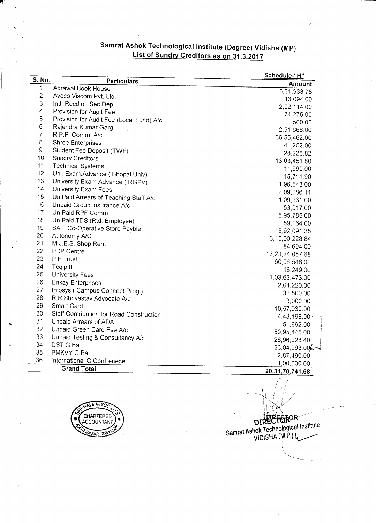## Samrat Ashok Technological Institute (Degree) Vidisha (MP) List of Sundry Creditors as on 31.3.2017

| S. No.                  |                                           | <u>Schedule-"H"</u>   |
|-------------------------|-------------------------------------------|-----------------------|
|                         | Particulars                               | Amount                |
| 1                       | Agrawal Book House                        | 5,31,933.78           |
| $\mathbf{2}$            | Aveco Viscom Pvt. Ltd.                    | 13,094.00             |
| 3                       | Intt. Recd on Sec Dep                     | 2,92,114.00           |
| $\overline{\mathbf{4}}$ | Provision for Audit Fee                   | 74,275.00             |
| 5                       | Provision for Audit Fee (Local Fund) A/c. | 500.00                |
| 6                       | Rajendra Kumar Garg                       | 2,51,666 00           |
| $\overline{7}$          | R.P.F. Comm. A/c.                         | 36,55,462.00          |
| 8                       | <b>Shree Enterprises</b>                  | 41,252.00             |
| 9                       | Student Fee Deposit (TWF)                 | 28,228.82             |
| 10                      | <b>Sundry Creditors</b>                   | 13,03,451.80          |
| 11                      | <b>Technical Systems</b>                  | 11,990.00             |
| 12                      | Uni. Exam.Advance ( Bhopal Univ)          | 15,711.90             |
| 13                      | University Exam Advance (RGPV)            | 1,96,543.00           |
| 14                      | University Exam Fees                      | 2,09,086.11           |
| 15                      | Un Paid Arrears of Teaching Staff A/c     | 1,09,331.00           |
| 16                      | Unpaid Group Insurance A/c                | 53,017.00             |
| 17                      | Un Paid RPF Comm.                         | 5,95,785.00           |
| 18                      | Un Paid TDS (Rtd. Employee)               | 59,164.00             |
| 19                      | SATI Co-Operative Store Payble            | 18,92,091.35          |
| 20                      | Autonomy A/C                              | 3,15,00,228.84        |
| 21                      | M.J.E.S. Shop Rent                        | 84,694.00             |
| 22                      | <b>PDP Centre</b>                         | 13,23,24,057.68       |
| 23                      | P.F.Trust                                 | 60,06,546.00          |
| 24                      | Teqip II                                  | 16,249.00             |
| 25                      | <b>University Fees</b>                    | 1,03,63,473.00        |
| 26                      | <b>Enkay Enterprises</b>                  | 2,64,220.00           |
| 27                      | Infosys (Campus Connect Prog.)            | 32,500.00             |
| 28                      | R R Shrivastav Advocate A/c               | 3,000.00              |
| 29                      | Smart Card                                | 10,57,930.00          |
| 30                      | Staff Contribution for Road Construction  | $4,48,198.00 -$       |
| 31                      | Unpaid Arrears of ADA                     | 51,892.00             |
| 32                      | Unpaid Green Card Fee A/c                 | 59,95,445.00          |
| 33                      | Unpaid Testing & Consultancy A/c.         | 26,96,028.40          |
| 34                      | DST G Bal                                 | 26,04,093.00 $\angle$ |
| 35                      | PMKVY G Bal                               | 2,87,490.00           |
| 36                      | International G Confrenece                | 1,00,000.00           |
|                         | <b>Grand Total</b>                        | 20, 31, 70, 741. 68   |
|                         |                                           |                       |



DIRECTOR<br>DIRECTOR<br>Samrat Ashok Technological Institute<br>VIDISHA (M.P.)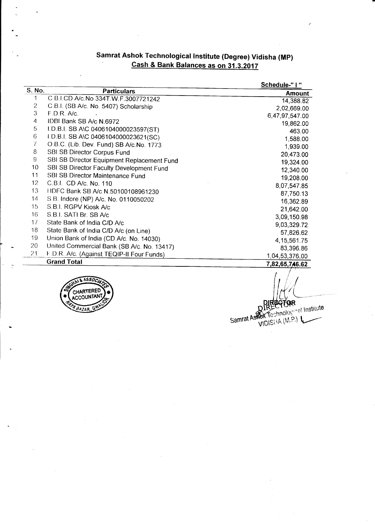## samrat Ashok rechnological lnstitute (Degree) Vidisha (Mp) Cash & Bank Balances as on 31.3.2017

|                 |                                            | Schedule-"   " |
|-----------------|--------------------------------------------|----------------|
| S. No.          | <b>Particulars</b>                         | <b>Amount</b>  |
| 1               | C.B.I.CD A/c.No 334T.W.F.3007721242        | 14,388.82      |
| 2               | C.B.I. (SB A/c. No. 5407) Scholarship      | 2,02,669.00    |
| 3               | F.D.R. A/c                                 | 6,47,97,547.00 |
| 4               | IDBI Bank SB A/c N.6972                    | 19,862.00      |
| 5               | I.D.B.I. SB A\C 0406104000023597(ST)       | 463.00         |
| 6               | I.D.B.I. SB A\C 0406104000023621(SC)       | 1,588.00       |
| 7               | O.B.C. (Lib. Dev. Fund) SB A/c.No. 1773    | 1,939.00       |
| 8               | SBI SB Director Corpus Fund                | 20,473.00      |
| 9               | SBI SB Director Equipment Replacement Fund | 19,324.00      |
| 10              | SBI SB Director Faculty Development Fund   | 12,340.00      |
| 11              | SBI SB Director Maintenance Fund           | 19,208.00      |
| 12 <sup>2</sup> | C.B.I. CD A/c. No. 110                     | 8,07,547.85    |
| 13              | HDFC Bank SB A/c N.50100108961230          |                |
| 14              | S.B. Indore (NP) A/c. No. 0110050202       | 87,750.13      |
| 15              | S.B.I. RGPV Kiosk A/c                      | 16,362.89      |
| 16              | S.B.I. SATI Br. SB A/c                     | 21,642.00      |
| 17              | State Bank of India C/D A/c                | 3,09,150.98    |
| 18              | State Bank of India C/D A/c (on Line)      | 9,03,329.72    |
| 19              |                                            | 57,826.62      |
|                 | Union Bank of India (CD A/c. No. 14030)    | 4, 15, 561. 75 |
| 20              | United Commercial Bank (SB A/c. No. 13417) | 83,396.86      |
| 21              | F.D.R. A/c. (Against TEQIP-II Four Funds)  | 1,04,53,376.00 |
|                 | <b>Grand Total</b>                         | 7,82,65,746.62 |



DIRECTOR<br>BIRECTOR<br>Samrat Ashok Technological Institute FOR